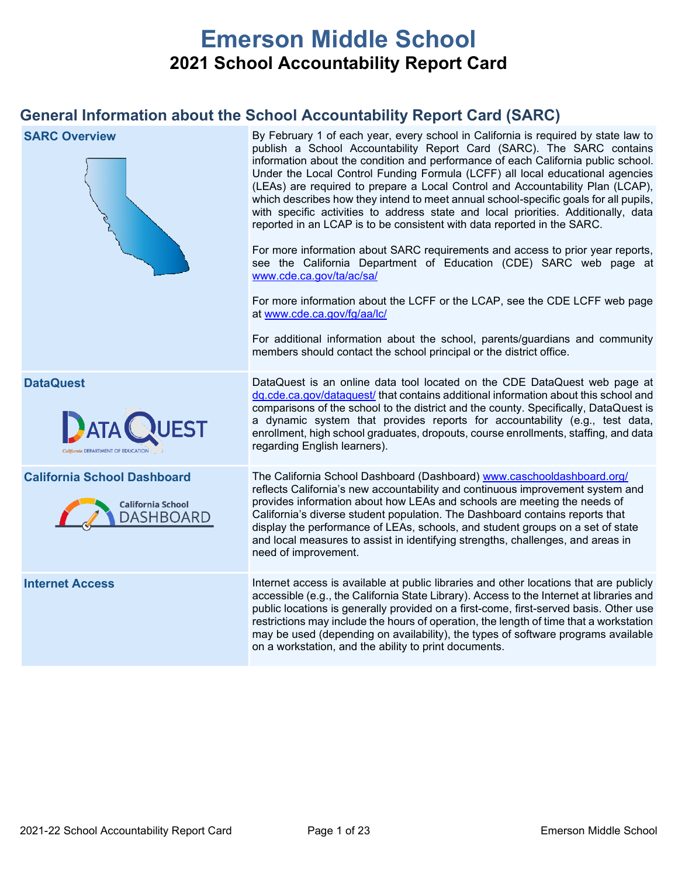# **Emerson Middle School 2021 School Accountability Report Card**

## **General Information about the School Accountability Report Card (SARC)**

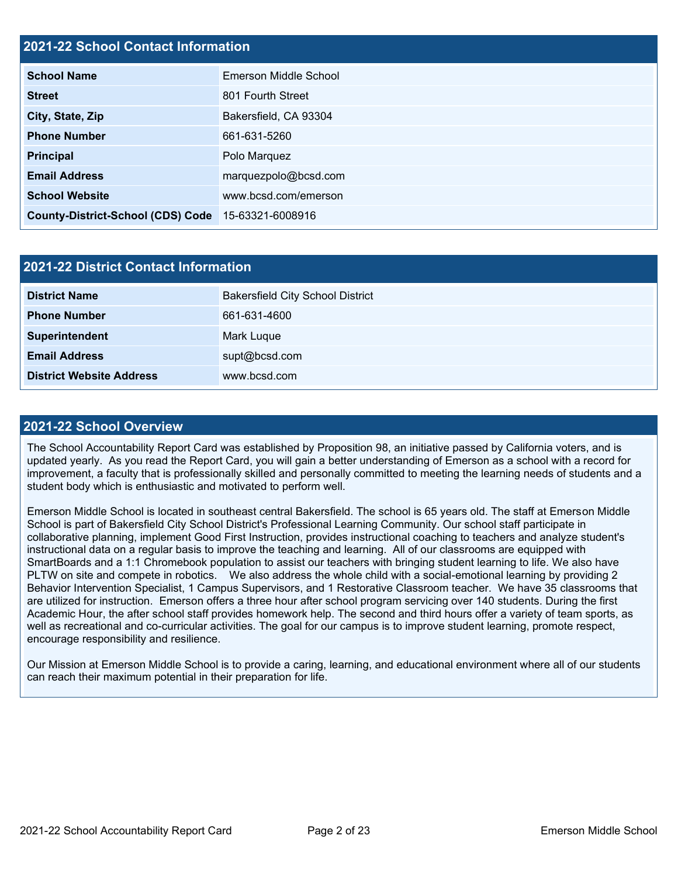## **2021-22 School Contact Information**

| <b>School Name</b>                                 | Emerson Middle School |  |  |
|----------------------------------------------------|-----------------------|--|--|
| <b>Street</b>                                      | 801 Fourth Street     |  |  |
| City, State, Zip                                   | Bakersfield, CA 93304 |  |  |
| <b>Phone Number</b>                                | 661-631-5260          |  |  |
| <b>Principal</b>                                   | Polo Marquez          |  |  |
| <b>Email Address</b>                               | marquezpolo@bcsd.com  |  |  |
| <b>School Website</b>                              | www.bcsd.com/emerson  |  |  |
| County-District-School (CDS) Code 15-63321-6008916 |                       |  |  |

| <b>2021-22 District Contact Information</b> |                                         |  |  |  |  |
|---------------------------------------------|-----------------------------------------|--|--|--|--|
| <b>District Name</b>                        | <b>Bakersfield City School District</b> |  |  |  |  |
| <b>Phone Number</b>                         | 661-631-4600                            |  |  |  |  |
| Superintendent                              | Mark Luque                              |  |  |  |  |
| <b>Email Address</b>                        | supt@bcsd.com                           |  |  |  |  |
| <b>District Website Address</b>             | www.bcsd.com                            |  |  |  |  |

### **2021-22 School Overview**

The School Accountability Report Card was established by Proposition 98, an initiative passed by California voters, and is updated yearly. As you read the Report Card, you will gain a better understanding of Emerson as a school with a record for improvement, a faculty that is professionally skilled and personally committed to meeting the learning needs of students and a student body which is enthusiastic and motivated to perform well.

Emerson Middle School is located in southeast central Bakersfield. The school is 65 years old. The staff at Emerson Middle School is part of Bakersfield City School District's Professional Learning Community. Our school staff participate in collaborative planning, implement Good First Instruction, provides instructional coaching to teachers and analyze student's instructional data on a regular basis to improve the teaching and learning. All of our classrooms are equipped with SmartBoards and a 1:1 Chromebook population to assist our teachers with bringing student learning to life. We also have PLTW on site and compete in robotics. We also address the whole child with a social-emotional learning by providing 2 Behavior Intervention Specialist, 1 Campus Supervisors, and 1 Restorative Classroom teacher. We have 35 classrooms that are utilized for instruction. Emerson offers a three hour after school program servicing over 140 students. During the first Academic Hour, the after school staff provides homework help. The second and third hours offer a variety of team sports, as well as recreational and co-curricular activities. The goal for our campus is to improve student learning, promote respect, encourage responsibility and resilience.

Our Mission at Emerson Middle School is to provide a caring, learning, and educational environment where all of our students can reach their maximum potential in their preparation for life.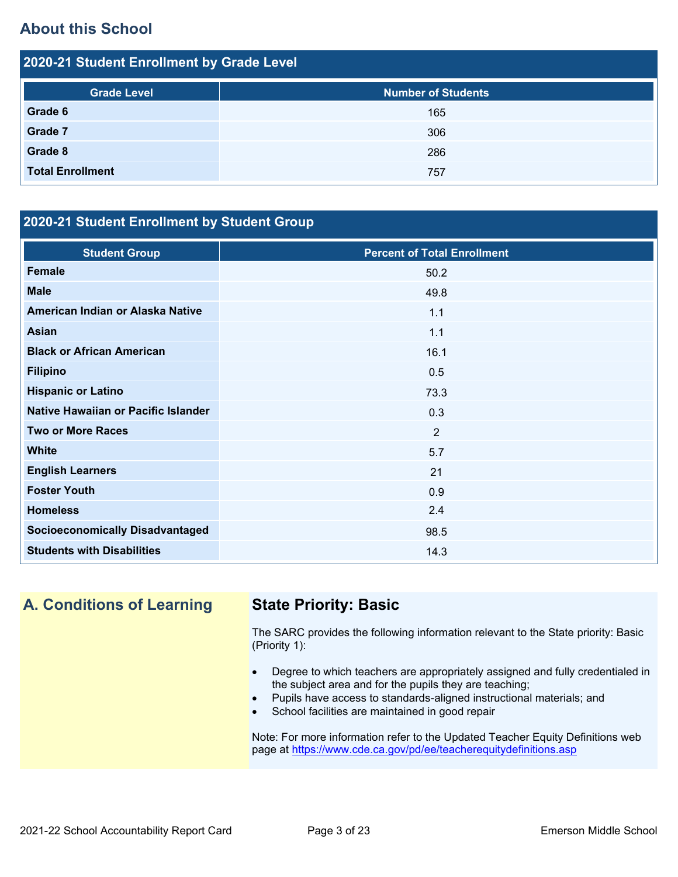## **About this School**

| 2020-21 Student Enrollment by Grade Level |                           |  |  |  |  |
|-------------------------------------------|---------------------------|--|--|--|--|
| <b>Grade Level</b>                        | <b>Number of Students</b> |  |  |  |  |
| Grade 6                                   | 165                       |  |  |  |  |
| Grade 7                                   | 306                       |  |  |  |  |
| Grade 8                                   | 286                       |  |  |  |  |
| <b>Total Enrollment</b>                   | 757                       |  |  |  |  |

## **2020-21 Student Enrollment by Student Group**

| <b>Student Group</b>                   | <b>Percent of Total Enrollment</b> |
|----------------------------------------|------------------------------------|
| <b>Female</b>                          | 50.2                               |
| <b>Male</b>                            | 49.8                               |
| American Indian or Alaska Native       | 1.1                                |
| <b>Asian</b>                           | 1.1                                |
| <b>Black or African American</b>       | 16.1                               |
| <b>Filipino</b>                        | 0.5                                |
| <b>Hispanic or Latino</b>              | 73.3                               |
| Native Hawaiian or Pacific Islander    | 0.3                                |
| <b>Two or More Races</b>               | 2                                  |
| <b>White</b>                           | 5.7                                |
| <b>English Learners</b>                | 21                                 |
| <b>Foster Youth</b>                    | 0.9                                |
| <b>Homeless</b>                        | 2.4                                |
| <b>Socioeconomically Disadvantaged</b> | 98.5                               |
| <b>Students with Disabilities</b>      | 14.3                               |

**A. Conditions of Learning State Priority: Basic**

The SARC provides the following information relevant to the State priority: Basic (Priority 1):

- Degree to which teachers are appropriately assigned and fully credentialed in the subject area and for the pupils they are teaching;
- Pupils have access to standards-aligned instructional materials; and
- School facilities are maintained in good repair

Note: For more information refer to the Updated Teacher Equity Definitions web page at<https://www.cde.ca.gov/pd/ee/teacherequitydefinitions.asp>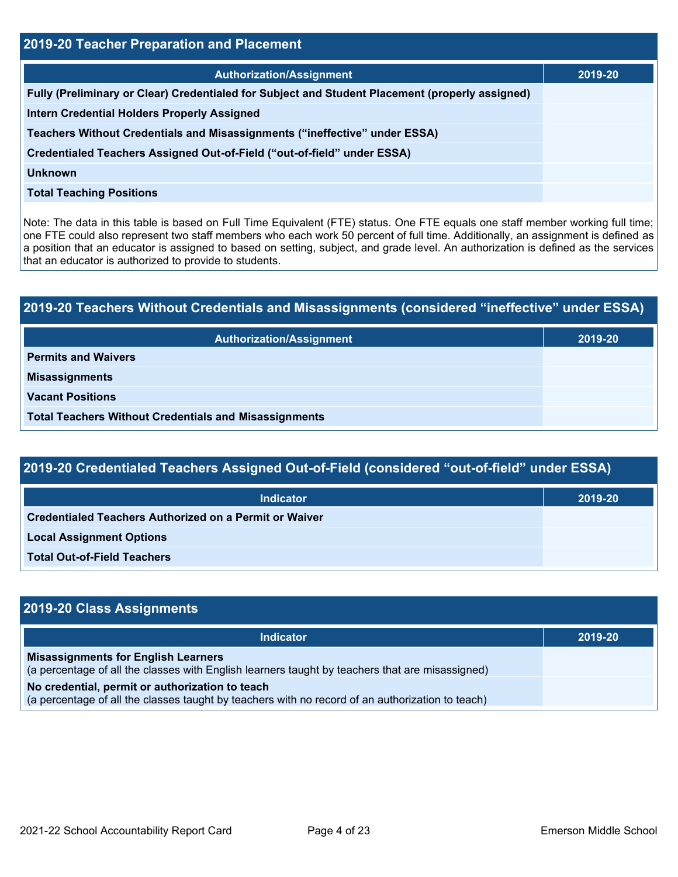| 2019-20 Teacher Preparation and Placement                                                       |         |  |  |  |
|-------------------------------------------------------------------------------------------------|---------|--|--|--|
| <b>Authorization/Assignment</b>                                                                 | 2019-20 |  |  |  |
| Fully (Preliminary or Clear) Credentialed for Subject and Student Placement (properly assigned) |         |  |  |  |
| <b>Intern Credential Holders Properly Assigned</b>                                              |         |  |  |  |
| Teachers Without Credentials and Misassignments ("ineffective" under ESSA)                      |         |  |  |  |
| Credentialed Teachers Assigned Out-of-Field ("out-of-field" under ESSA)                         |         |  |  |  |
| <b>Unknown</b>                                                                                  |         |  |  |  |
| <b>Total Teaching Positions</b>                                                                 |         |  |  |  |

Note: The data in this table is based on Full Time Equivalent (FTE) status. One FTE equals one staff member working full time; one FTE could also represent two staff members who each work 50 percent of full time. Additionally, an assignment is defined as a position that an educator is assigned to based on setting, subject, and grade level. An authorization is defined as the services that an educator is authorized to provide to students.

# **2019-20 Teachers Without Credentials and Misassignments (considered "ineffective" under ESSA) Authorization/Assignment 2019-20 Permits and Waivers Misassignments Vacant Positions Total Teachers Without Credentials and Misassignments**

| 2019-20 Credentialed Teachers Assigned Out-of-Field (considered "out-of-field" under ESSA) |         |  |  |  |  |
|--------------------------------------------------------------------------------------------|---------|--|--|--|--|
| <b>Indicator</b>                                                                           | 2019-20 |  |  |  |  |
| Credentialed Teachers Authorized on a Permit or Waiver                                     |         |  |  |  |  |
| <b>Local Assignment Options</b>                                                            |         |  |  |  |  |
| <b>Total Out-of-Field Teachers</b>                                                         |         |  |  |  |  |

| 2019-20 Class Assignments                                                                                                                           |         |
|-----------------------------------------------------------------------------------------------------------------------------------------------------|---------|
| <b>Indicator</b>                                                                                                                                    | 2019-20 |
| <b>Misassignments for English Learners</b><br>(a percentage of all the classes with English learners taught by teachers that are misassigned)       |         |
| No credential, permit or authorization to teach<br>(a percentage of all the classes taught by teachers with no record of an authorization to teach) |         |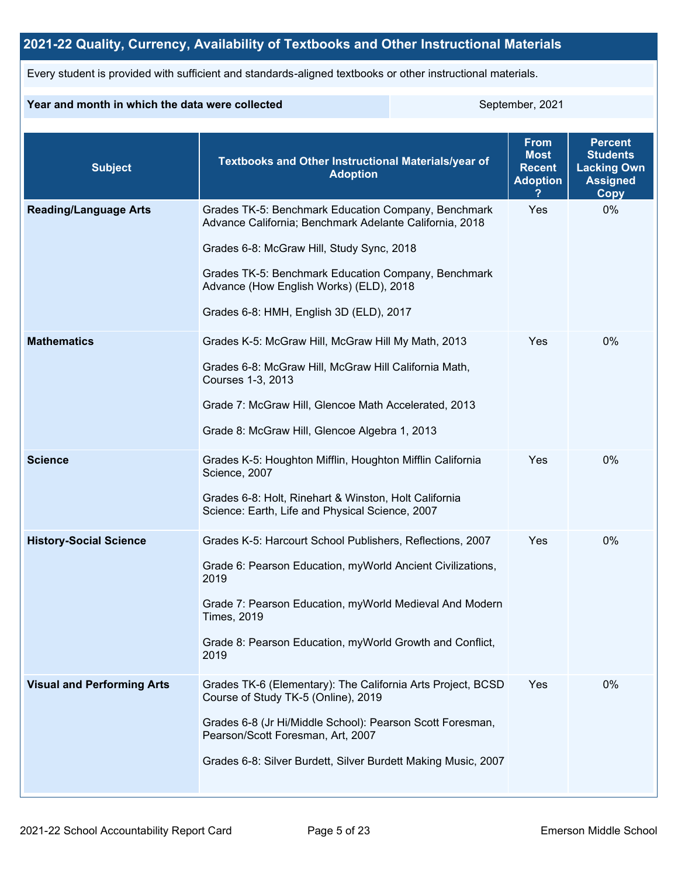## **2021-22 Quality, Currency, Availability of Textbooks and Other Instructional Materials**

Every student is provided with sufficient and standards-aligned textbooks or other instructional materials.

### **Year and month in which the data were collected** September, 2021

| <b>Subject</b>                    | <b>Textbooks and Other Instructional Materials/year of</b><br><b>Adoption</b>                                                                                                                                                                                                                            | <b>From</b><br><b>Most</b><br><b>Recent</b><br><b>Adoption</b> | <b>Percent</b><br><b>Students</b><br><b>Lacking Own</b><br><b>Assigned</b><br><b>Copy</b> |
|-----------------------------------|----------------------------------------------------------------------------------------------------------------------------------------------------------------------------------------------------------------------------------------------------------------------------------------------------------|----------------------------------------------------------------|-------------------------------------------------------------------------------------------|
| <b>Reading/Language Arts</b>      | Grades TK-5: Benchmark Education Company, Benchmark<br>Advance California; Benchmark Adelante California, 2018<br>Grades 6-8: McGraw Hill, Study Sync, 2018<br>Grades TK-5: Benchmark Education Company, Benchmark<br>Advance (How English Works) (ELD), 2018<br>Grades 6-8: HMH, English 3D (ELD), 2017 | Yes                                                            | 0%                                                                                        |
| <b>Mathematics</b>                | Grades K-5: McGraw Hill, McGraw Hill My Math, 2013<br>Grades 6-8: McGraw Hill, McGraw Hill California Math,<br>Courses 1-3, 2013<br>Grade 7: McGraw Hill, Glencoe Math Accelerated, 2013<br>Grade 8: McGraw Hill, Glencoe Algebra 1, 2013                                                                | Yes                                                            | 0%                                                                                        |
| <b>Science</b>                    | Grades K-5: Houghton Mifflin, Houghton Mifflin California<br>Science, 2007<br>Grades 6-8: Holt, Rinehart & Winston, Holt California<br>Science: Earth, Life and Physical Science, 2007                                                                                                                   | Yes                                                            | 0%                                                                                        |
| <b>History-Social Science</b>     | Grades K-5: Harcourt School Publishers, Reflections, 2007<br>Grade 6: Pearson Education, myWorld Ancient Civilizations,<br>2019<br>Grade 7: Pearson Education, myWorld Medieval And Modern<br><b>Times, 2019</b><br>Grade 8: Pearson Education, myWorld Growth and Conflict,<br>2019                     | Yes                                                            | 0%                                                                                        |
| <b>Visual and Performing Arts</b> | Grades TK-6 (Elementary): The California Arts Project, BCSD<br>Course of Study TK-5 (Online), 2019<br>Grades 6-8 (Jr Hi/Middle School): Pearson Scott Foresman,<br>Pearson/Scott Foresman, Art, 2007<br>Grades 6-8: Silver Burdett, Silver Burdett Making Music, 2007                                    | Yes                                                            | 0%                                                                                        |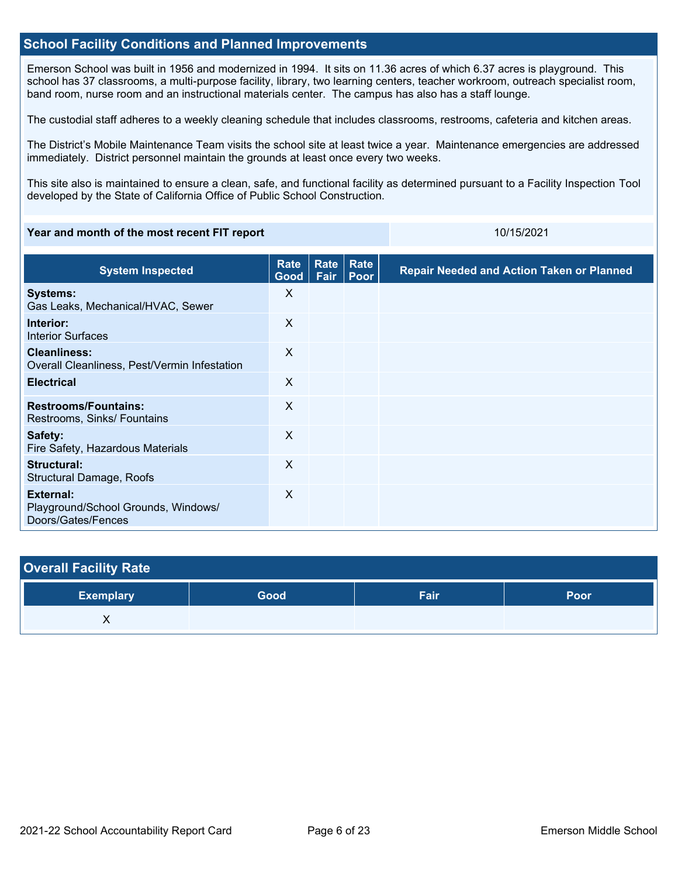### **School Facility Conditions and Planned Improvements**

Emerson School was built in 1956 and modernized in 1994. It sits on 11.36 acres of which 6.37 acres is playground. This school has 37 classrooms, a multi-purpose facility, library, two learning centers, teacher workroom, outreach specialist room, band room, nurse room and an instructional materials center. The campus has also has a staff lounge.

The custodial staff adheres to a weekly cleaning schedule that includes classrooms, restrooms, cafeteria and kitchen areas.

The District's Mobile Maintenance Team visits the school site at least twice a year. Maintenance emergencies are addressed immediately. District personnel maintain the grounds at least once every two weeks.

This site also is maintained to ensure a clean, safe, and functional facility as determined pursuant to a Facility Inspection Tool developed by the State of California Office of Public School Construction.

### **Year and month of the most recent FIT report** 10/15/2021 10/15/2021

| <b>System Inspected</b>                                                | Rate<br>Good | Rate<br><b>Fair</b> | Rate<br>Poor | <b>Repair Needed and Action Taken or Planned</b> |
|------------------------------------------------------------------------|--------------|---------------------|--------------|--------------------------------------------------|
| <b>Systems:</b><br>Gas Leaks, Mechanical/HVAC, Sewer                   | X            |                     |              |                                                  |
| Interior:<br><b>Interior Surfaces</b>                                  | $\sf X$      |                     |              |                                                  |
| <b>Cleanliness:</b><br>Overall Cleanliness, Pest/Vermin Infestation    | X            |                     |              |                                                  |
| <b>Electrical</b>                                                      | X            |                     |              |                                                  |
| <b>Restrooms/Fountains:</b><br>Restrooms, Sinks/ Fountains             | X            |                     |              |                                                  |
| Safety:<br>Fire Safety, Hazardous Materials                            | $\sf X$      |                     |              |                                                  |
| Structural:<br>Structural Damage, Roofs                                | X            |                     |              |                                                  |
| External:<br>Playground/School Grounds, Windows/<br>Doors/Gates/Fences | $\times$     |                     |              |                                                  |

| <b>Overall Facility Rate</b> |      |      |             |
|------------------------------|------|------|-------------|
| <b>Exemplary</b>             | Good | Fair | <b>Poor</b> |
|                              |      |      |             |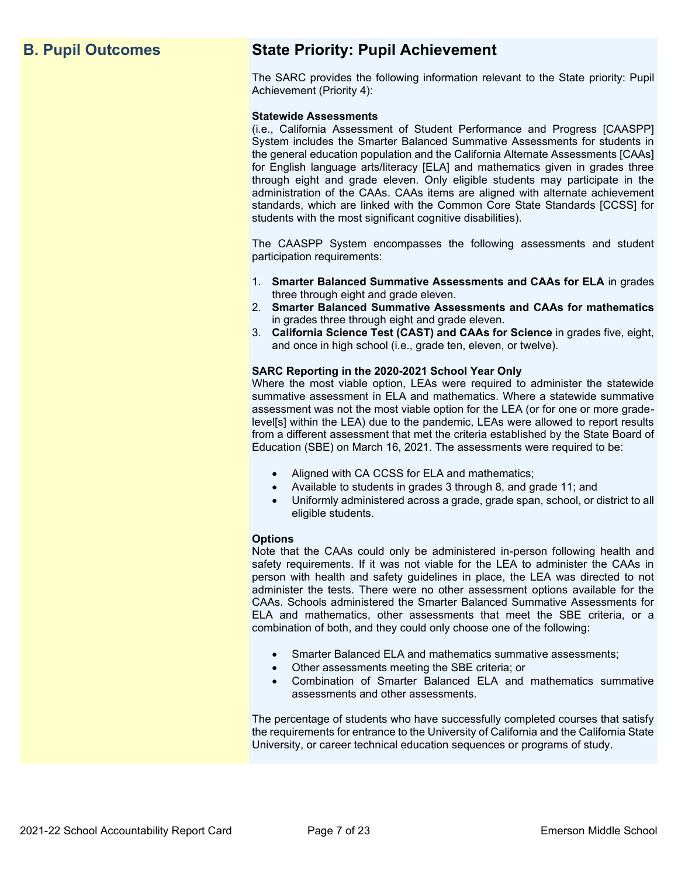## **B. Pupil Outcomes State Priority: Pupil Achievement**

The SARC provides the following information relevant to the State priority: Pupil Achievement (Priority 4):

### **Statewide Assessments**

(i.e., California Assessment of Student Performance and Progress [CAASPP] System includes the Smarter Balanced Summative Assessments for students in the general education population and the California Alternate Assessments [CAAs] for English language arts/literacy [ELA] and mathematics given in grades three through eight and grade eleven. Only eligible students may participate in the administration of the CAAs. CAAs items are aligned with alternate achievement standards, which are linked with the Common Core State Standards [CCSS] for students with the most significant cognitive disabilities).

The CAASPP System encompasses the following assessments and student participation requirements:

- 1. **Smarter Balanced Summative Assessments and CAAs for ELA** in grades three through eight and grade eleven.
- 2. **Smarter Balanced Summative Assessments and CAAs for mathematics** in grades three through eight and grade eleven.
- 3. **California Science Test (CAST) and CAAs for Science** in grades five, eight, and once in high school (i.e., grade ten, eleven, or twelve).

### **SARC Reporting in the 2020-2021 School Year Only**

Where the most viable option, LEAs were required to administer the statewide summative assessment in ELA and mathematics. Where a statewide summative assessment was not the most viable option for the LEA (or for one or more gradelevel[s] within the LEA) due to the pandemic, LEAs were allowed to report results from a different assessment that met the criteria established by the State Board of Education (SBE) on March 16, 2021. The assessments were required to be:

- Aligned with CA CCSS for ELA and mathematics;
- Available to students in grades 3 through 8, and grade 11; and
- Uniformly administered across a grade, grade span, school, or district to all eligible students.

### **Options**

Note that the CAAs could only be administered in-person following health and safety requirements. If it was not viable for the LEA to administer the CAAs in person with health and safety guidelines in place, the LEA was directed to not administer the tests. There were no other assessment options available for the CAAs. Schools administered the Smarter Balanced Summative Assessments for ELA and mathematics, other assessments that meet the SBE criteria, or a combination of both, and they could only choose one of the following:

- Smarter Balanced ELA and mathematics summative assessments;
- Other assessments meeting the SBE criteria; or
- Combination of Smarter Balanced ELA and mathematics summative assessments and other assessments.

The percentage of students who have successfully completed courses that satisfy the requirements for entrance to the University of California and the California State University, or career technical education sequences or programs of study.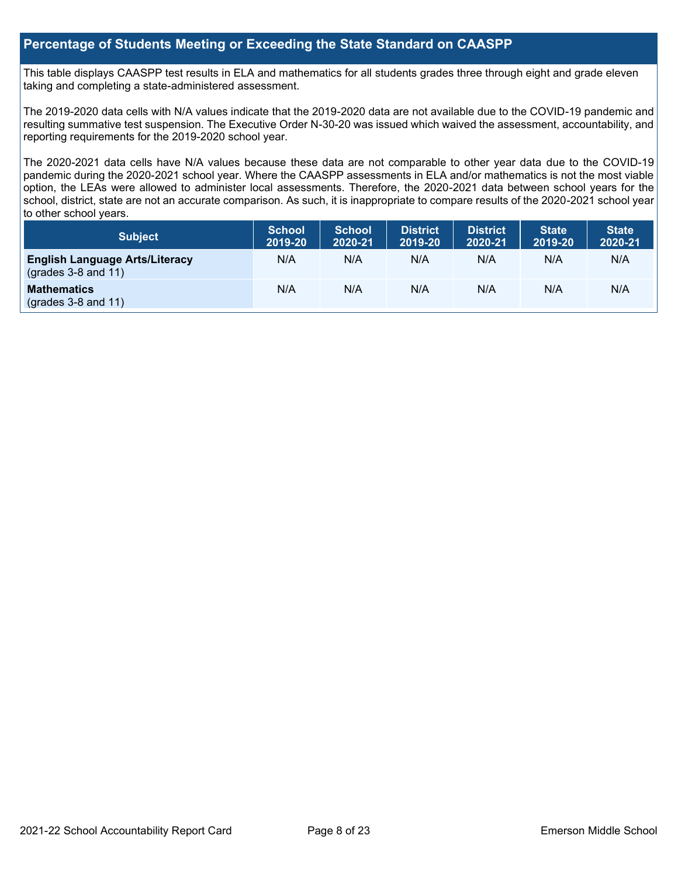### **Percentage of Students Meeting or Exceeding the State Standard on CAASPP**

This table displays CAASPP test results in ELA and mathematics for all students grades three through eight and grade eleven taking and completing a state-administered assessment.

The 2019-2020 data cells with N/A values indicate that the 2019-2020 data are not available due to the COVID-19 pandemic and resulting summative test suspension. The Executive Order N-30-20 was issued which waived the assessment, accountability, and reporting requirements for the 2019-2020 school year.

The 2020-2021 data cells have N/A values because these data are not comparable to other year data due to the COVID-19 pandemic during the 2020-2021 school year. Where the CAASPP assessments in ELA and/or mathematics is not the most viable option, the LEAs were allowed to administer local assessments. Therefore, the 2020-2021 data between school years for the school, district, state are not an accurate comparison. As such, it is inappropriate to compare results of the 2020-2021 school year to other school years.

| Subject                                                              | <b>School</b><br>2019-20 | <b>School</b><br>2020-21 | <b>District</b><br>2019-20 | <b>District</b><br>2020-21 | <b>State</b><br>2019-20 | <b>State</b><br>2020-21 |
|----------------------------------------------------------------------|--------------------------|--------------------------|----------------------------|----------------------------|-------------------------|-------------------------|
| <b>English Language Arts/Literacy</b><br>$\left($ grades 3-8 and 11) | N/A                      | N/A                      | N/A                        | N/A                        | N/A                     | N/A                     |
| <b>Mathematics</b><br>$(grades 3-8 and 11)$                          | N/A                      | N/A                      | N/A                        | N/A                        | N/A                     | N/A                     |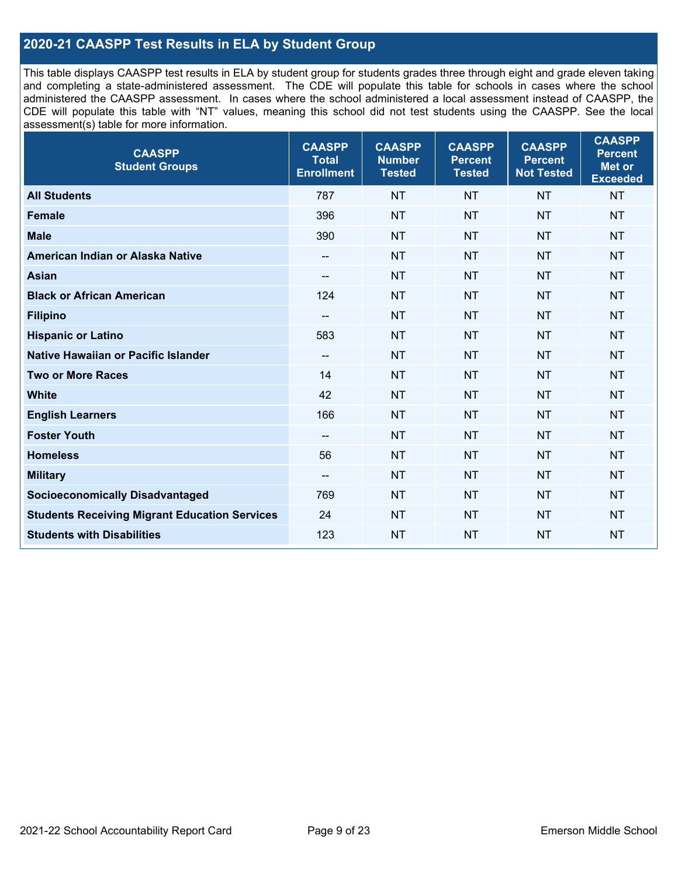## **2020-21 CAASPP Test Results in ELA by Student Group**

This table displays CAASPP test results in ELA by student group for students grades three through eight and grade eleven taking and completing a state-administered assessment. The CDE will populate this table for schools in cases where the school administered the CAASPP assessment. In cases where the school administered a local assessment instead of CAASPP, the CDE will populate this table with "NT" values, meaning this school did not test students using the CAASPP. See the local assessment(s) table for more information.

| <b>CAASPP</b><br><b>Student Groups</b>               | <b>CAASPP</b><br><b>Total</b><br><b>Enrollment</b> | <b>CAASPP</b><br><b>Number</b><br><b>Tested</b> | <b>CAASPP</b><br><b>Percent</b><br><b>Tested</b> | <b>CAASPP</b><br><b>Percent</b><br><b>Not Tested</b> | <b>CAASPP</b><br><b>Percent</b><br><b>Met or</b><br><b>Exceeded</b> |
|------------------------------------------------------|----------------------------------------------------|-------------------------------------------------|--------------------------------------------------|------------------------------------------------------|---------------------------------------------------------------------|
| <b>All Students</b>                                  | 787                                                | <b>NT</b>                                       | <b>NT</b>                                        | <b>NT</b>                                            | <b>NT</b>                                                           |
| <b>Female</b>                                        | 396                                                | <b>NT</b>                                       | <b>NT</b>                                        | <b>NT</b>                                            | <b>NT</b>                                                           |
| <b>Male</b>                                          | 390                                                | <b>NT</b>                                       | <b>NT</b>                                        | <b>NT</b>                                            | <b>NT</b>                                                           |
| American Indian or Alaska Native                     | --                                                 | <b>NT</b>                                       | <b>NT</b>                                        | <b>NT</b>                                            | <b>NT</b>                                                           |
| <b>Asian</b>                                         | --                                                 | <b>NT</b>                                       | <b>NT</b>                                        | <b>NT</b>                                            | <b>NT</b>                                                           |
| <b>Black or African American</b>                     | 124                                                | <b>NT</b>                                       | <b>NT</b>                                        | <b>NT</b>                                            | <b>NT</b>                                                           |
| <b>Filipino</b>                                      | $\overline{\phantom{a}}$                           | <b>NT</b>                                       | <b>NT</b>                                        | <b>NT</b>                                            | <b>NT</b>                                                           |
| <b>Hispanic or Latino</b>                            | 583                                                | <b>NT</b>                                       | <b>NT</b>                                        | <b>NT</b>                                            | NT                                                                  |
| Native Hawaiian or Pacific Islander                  | $\overline{\phantom{a}}$                           | <b>NT</b>                                       | <b>NT</b>                                        | <b>NT</b>                                            | <b>NT</b>                                                           |
| <b>Two or More Races</b>                             | 14                                                 | <b>NT</b>                                       | <b>NT</b>                                        | <b>NT</b>                                            | <b>NT</b>                                                           |
| <b>White</b>                                         | 42                                                 | <b>NT</b>                                       | <b>NT</b>                                        | <b>NT</b>                                            | <b>NT</b>                                                           |
| <b>English Learners</b>                              | 166                                                | <b>NT</b>                                       | <b>NT</b>                                        | <b>NT</b>                                            | <b>NT</b>                                                           |
| <b>Foster Youth</b>                                  | $\overline{\phantom{a}}$                           | <b>NT</b>                                       | <b>NT</b>                                        | <b>NT</b>                                            | <b>NT</b>                                                           |
| <b>Homeless</b>                                      | 56                                                 | <b>NT</b>                                       | <b>NT</b>                                        | <b>NT</b>                                            | <b>NT</b>                                                           |
| <b>Military</b>                                      | --                                                 | <b>NT</b>                                       | <b>NT</b>                                        | <b>NT</b>                                            | <b>NT</b>                                                           |
| <b>Socioeconomically Disadvantaged</b>               | 769                                                | <b>NT</b>                                       | <b>NT</b>                                        | <b>NT</b>                                            | <b>NT</b>                                                           |
| <b>Students Receiving Migrant Education Services</b> | 24                                                 | <b>NT</b>                                       | <b>NT</b>                                        | <b>NT</b>                                            | NT                                                                  |
| <b>Students with Disabilities</b>                    | 123                                                | <b>NT</b>                                       | <b>NT</b>                                        | <b>NT</b>                                            | <b>NT</b>                                                           |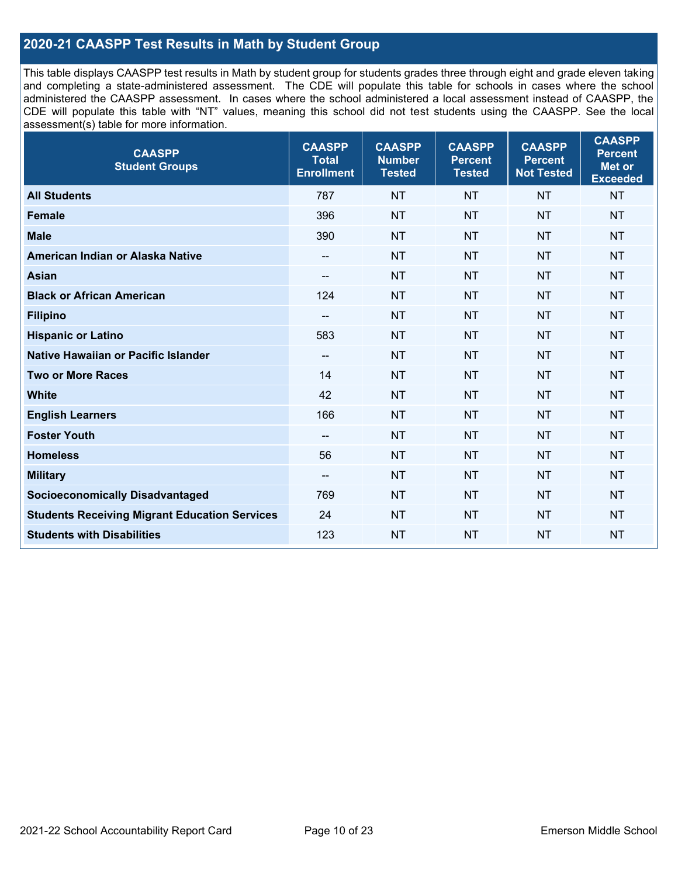## **2020-21 CAASPP Test Results in Math by Student Group**

This table displays CAASPP test results in Math by student group for students grades three through eight and grade eleven taking and completing a state-administered assessment. The CDE will populate this table for schools in cases where the school administered the CAASPP assessment. In cases where the school administered a local assessment instead of CAASPP, the CDE will populate this table with "NT" values, meaning this school did not test students using the CAASPP. See the local assessment(s) table for more information.

| <b>CAASPP</b><br><b>Total</b><br><b>Enrollment</b> | <b>CAASPP</b><br><b>Number</b><br><b>Tested</b> | <b>CAASPP</b><br><b>Percent</b><br><b>Tested</b> | <b>CAASPP</b><br><b>Percent</b><br><b>Not Tested</b> | <b>CAASPP</b><br><b>Percent</b><br>Met or<br><b>Exceeded</b> |
|----------------------------------------------------|-------------------------------------------------|--------------------------------------------------|------------------------------------------------------|--------------------------------------------------------------|
| 787                                                | <b>NT</b>                                       | <b>NT</b>                                        | <b>NT</b>                                            | <b>NT</b>                                                    |
| 396                                                | <b>NT</b>                                       | <b>NT</b>                                        | <b>NT</b>                                            | <b>NT</b>                                                    |
| 390                                                | <b>NT</b>                                       | <b>NT</b>                                        | <b>NT</b>                                            | <b>NT</b>                                                    |
| $-$                                                | <b>NT</b>                                       | <b>NT</b>                                        | <b>NT</b>                                            | <b>NT</b>                                                    |
| --                                                 | <b>NT</b>                                       | <b>NT</b>                                        | <b>NT</b>                                            | <b>NT</b>                                                    |
| 124                                                | <b>NT</b>                                       | <b>NT</b>                                        | <b>NT</b>                                            | <b>NT</b>                                                    |
| $- -$                                              | <b>NT</b>                                       | <b>NT</b>                                        | <b>NT</b>                                            | <b>NT</b>                                                    |
| 583                                                | <b>NT</b>                                       | <b>NT</b>                                        | <b>NT</b>                                            | <b>NT</b>                                                    |
| $\overline{\phantom{a}}$                           | <b>NT</b>                                       | <b>NT</b>                                        | <b>NT</b>                                            | <b>NT</b>                                                    |
| 14                                                 | <b>NT</b>                                       | <b>NT</b>                                        | <b>NT</b>                                            | <b>NT</b>                                                    |
| 42                                                 | <b>NT</b>                                       | <b>NT</b>                                        | <b>NT</b>                                            | <b>NT</b>                                                    |
| 166                                                | <b>NT</b>                                       | <b>NT</b>                                        | <b>NT</b>                                            | <b>NT</b>                                                    |
| $\overline{\phantom{a}}$                           | <b>NT</b>                                       | <b>NT</b>                                        | <b>NT</b>                                            | <b>NT</b>                                                    |
| 56                                                 | <b>NT</b>                                       | <b>NT</b>                                        | <b>NT</b>                                            | <b>NT</b>                                                    |
| --                                                 | <b>NT</b>                                       | <b>NT</b>                                        | <b>NT</b>                                            | <b>NT</b>                                                    |
| 769                                                | <b>NT</b>                                       | <b>NT</b>                                        | <b>NT</b>                                            | <b>NT</b>                                                    |
| 24                                                 | <b>NT</b>                                       | <b>NT</b>                                        | <b>NT</b>                                            | <b>NT</b>                                                    |
| 123                                                | <b>NT</b>                                       | <b>NT</b>                                        | <b>NT</b>                                            | <b>NT</b>                                                    |
|                                                    |                                                 |                                                  |                                                      |                                                              |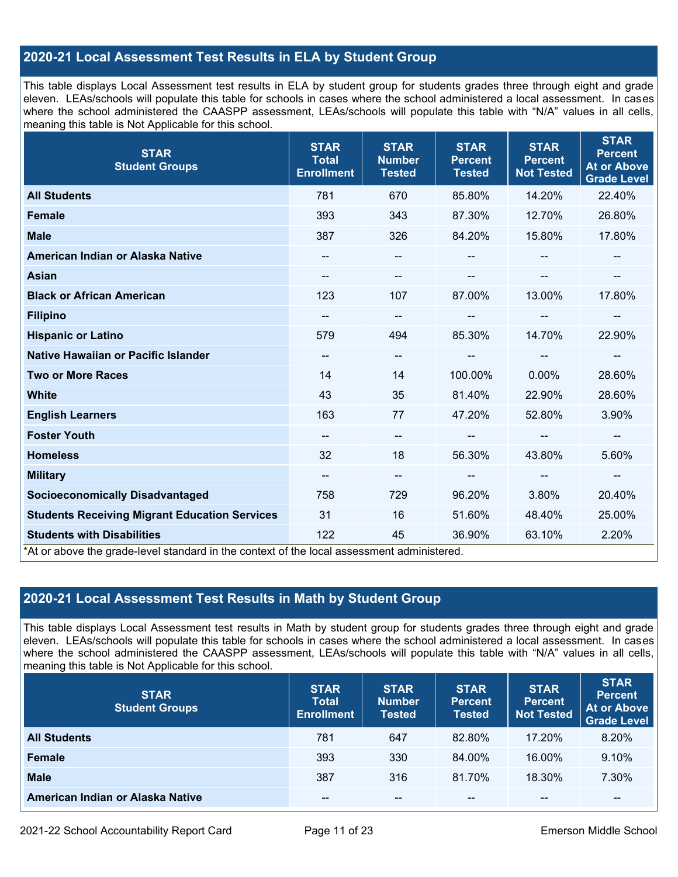## **2020-21 Local Assessment Test Results in ELA by Student Group**

This table displays Local Assessment test results in ELA by student group for students grades three through eight and grade eleven. LEAs/schools will populate this table for schools in cases where the school administered a local assessment. In cases where the school administered the CAASPP assessment, LEAs/schools will populate this table with "N/A" values in all cells, meaning this table is Not Applicable for this school.

| <b>STAR</b><br><b>Student Groups</b>                                                                                            | <b>STAR</b><br><b>Total</b><br><b>Enrollment</b> | <b>STAR</b><br><b>Number</b><br><b>Tested</b> | <b>STAR</b><br><b>Percent</b><br><b>Tested</b> | <b>STAR</b><br><b>Percent</b><br><b>Not Tested</b> | <b>STAR</b><br><b>Percent</b><br><b>At or Above</b><br><b>Grade Level</b> |
|---------------------------------------------------------------------------------------------------------------------------------|--------------------------------------------------|-----------------------------------------------|------------------------------------------------|----------------------------------------------------|---------------------------------------------------------------------------|
| <b>All Students</b>                                                                                                             | 781                                              | 670                                           | 85.80%                                         | 14.20%                                             | 22.40%                                                                    |
| <b>Female</b>                                                                                                                   | 393                                              | 343                                           | 87.30%                                         | 12.70%                                             | 26.80%                                                                    |
| <b>Male</b>                                                                                                                     | 387                                              | 326                                           | 84.20%                                         | 15.80%                                             | 17.80%                                                                    |
| American Indian or Alaska Native                                                                                                | $\qquad \qquad -$                                | --                                            | --                                             |                                                    |                                                                           |
| <b>Asian</b>                                                                                                                    | --                                               | --                                            |                                                | --                                                 |                                                                           |
| <b>Black or African American</b>                                                                                                | 123                                              | 107                                           | 87.00%                                         | 13.00%                                             | 17.80%                                                                    |
| <b>Filipino</b>                                                                                                                 | $\qquad \qquad -$                                | --                                            | --                                             | --                                                 | $\overline{\phantom{a}}$                                                  |
| <b>Hispanic or Latino</b>                                                                                                       | 579                                              | 494                                           | 85.30%                                         | 14.70%                                             | 22.90%                                                                    |
| Native Hawaiian or Pacific Islander                                                                                             | --                                               | --                                            |                                                |                                                    |                                                                           |
| <b>Two or More Races</b>                                                                                                        | 14                                               | 14                                            | 100.00%                                        | 0.00%                                              | 28.60%                                                                    |
| <b>White</b>                                                                                                                    | 43                                               | 35                                            | 81.40%                                         | 22.90%                                             | 28.60%                                                                    |
| <b>English Learners</b>                                                                                                         | 163                                              | 77                                            | 47.20%                                         | 52.80%                                             | 3.90%                                                                     |
| <b>Foster Youth</b>                                                                                                             | $\qquad \qquad -$                                | $\qquad \qquad -$                             |                                                | $\overline{\phantom{a}}$                           | $\sim$                                                                    |
| <b>Homeless</b>                                                                                                                 | 32                                               | 18                                            | 56.30%                                         | 43.80%                                             | 5.60%                                                                     |
| <b>Military</b>                                                                                                                 | $\qquad \qquad -$                                | --                                            | $\hspace{0.05cm}$ – $\hspace{0.05cm}$          | $\overline{\phantom{a}}$                           | $\overline{\phantom{a}}$                                                  |
| <b>Socioeconomically Disadvantaged</b>                                                                                          | 758                                              | 729                                           | 96.20%                                         | 3.80%                                              | 20.40%                                                                    |
| <b>Students Receiving Migrant Education Services</b>                                                                            | 31                                               | 16                                            | 51.60%                                         | 48.40%                                             | 25.00%                                                                    |
| <b>Students with Disabilities</b><br>*At or above the grade-level standard in the context of the local assessment administered. | 122                                              | 45                                            | 36.90%                                         | 63.10%                                             | 2.20%                                                                     |

## **2020-21 Local Assessment Test Results in Math by Student Group**

This table displays Local Assessment test results in Math by student group for students grades three through eight and grade eleven. LEAs/schools will populate this table for schools in cases where the school administered a local assessment. In cases where the school administered the CAASPP assessment, LEAs/schools will populate this table with "N/A" values in all cells, meaning this table is Not Applicable for this school.

| <b>STAR</b><br><b>Student Groups</b> | <b>STAR</b><br><b>Total</b><br><b>Enrollment</b> | <b>STAR</b><br><b>Number</b><br><b>Tested</b> | <b>STAR</b><br><b>Percent</b><br><b>Tested</b> | <b>STAR</b><br><b>Percent</b><br><b>Not Tested</b> | <b>STAR</b><br><b>Percent</b><br><b>At or Above</b><br><b>Grade Level</b> |
|--------------------------------------|--------------------------------------------------|-----------------------------------------------|------------------------------------------------|----------------------------------------------------|---------------------------------------------------------------------------|
| <b>All Students</b>                  | 781                                              | 647                                           | 82.80%                                         | 17.20%                                             | 8.20%                                                                     |
| <b>Female</b>                        | 393                                              | 330                                           | 84.00%                                         | 16.00%                                             | 9.10%                                                                     |
| <b>Male</b>                          | 387                                              | 316                                           | 81.70%                                         | 18.30%                                             | 7.30%                                                                     |
| American Indian or Alaska Native     | --                                               | $\sim$ $\sim$                                 | $- -$                                          | --                                                 | $\overline{\phantom{m}}$                                                  |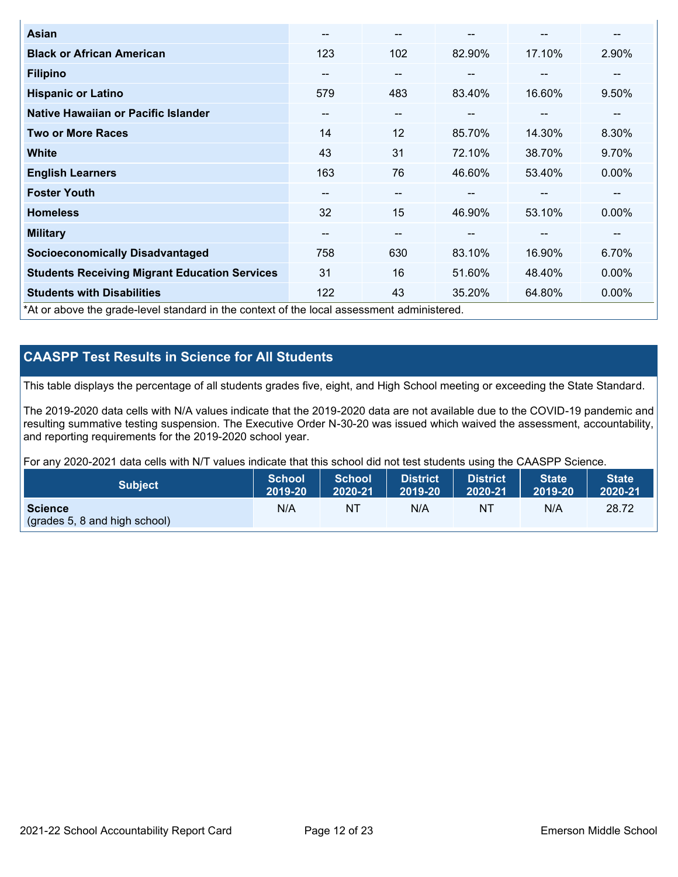| Asian                                                                                      | --                       | $- -$                  |        | --                       | --       |
|--------------------------------------------------------------------------------------------|--------------------------|------------------------|--------|--------------------------|----------|
| <b>Black or African American</b>                                                           | 123                      | 102                    | 82.90% | 17.10%                   | 2.90%    |
| <b>Filipino</b>                                                                            | $-$                      | $- -$                  | --     | --                       | --       |
| <b>Hispanic or Latino</b>                                                                  | 579                      | 483                    | 83.40% | 16.60%                   | 9.50%    |
| Native Hawaiian or Pacific Islander                                                        | $\overline{\phantom{m}}$ | $\qquad \qquad \cdots$ | --     | $\overline{\phantom{m}}$ | --       |
| <b>Two or More Races</b>                                                                   | 14                       | 12                     | 85.70% | 14.30%                   | 8.30%    |
| <b>White</b>                                                                               | 43                       | 31                     | 72.10% | 38.70%                   | 9.70%    |
| <b>English Learners</b>                                                                    | 163                      | 76                     | 46.60% | 53.40%                   | $0.00\%$ |
| <b>Foster Youth</b>                                                                        | --                       | $- -$                  |        | --                       | --       |
| <b>Homeless</b>                                                                            | 32                       | 15                     | 46.90% | 53.10%                   | $0.00\%$ |
| <b>Military</b>                                                                            | --                       | $\qquad \qquad \cdots$ | --     | --                       | --       |
| <b>Socioeconomically Disadvantaged</b>                                                     | 758                      | 630                    | 83.10% | 16.90%                   | 6.70%    |
| <b>Students Receiving Migrant Education Services</b>                                       | 31                       | 16                     | 51.60% | 48.40%                   | $0.00\%$ |
| <b>Students with Disabilities</b>                                                          | 122                      | 43                     | 35.20% | 64.80%                   | 0.00%    |
| *At or above the grade-level standard in the context of the local assessment administered. |                          |                        |        |                          |          |

## **CAASPP Test Results in Science for All Students**

This table displays the percentage of all students grades five, eight, and High School meeting or exceeding the State Standard.

The 2019-2020 data cells with N/A values indicate that the 2019-2020 data are not available due to the COVID-19 pandemic and resulting summative testing suspension. The Executive Order N-30-20 was issued which waived the assessment, accountability, and reporting requirements for the 2019-2020 school year.

For any 2020-2021 data cells with N/T values indicate that this school did not test students using the CAASPP Science.

| <b>Subject</b>                                           | <b>School</b> | <b>School</b> | <b>District</b> | District | <b>State</b> | <b>State</b> |
|----------------------------------------------------------|---------------|---------------|-----------------|----------|--------------|--------------|
|                                                          | 2019-20       | 2020-21       | 2019-20         | 2020-21  | 2019-20      | 2020-21      |
| <b>Science</b><br>$\left($ (grades 5, 8 and high school) | N/A           | NT            | N/A             | NT       | N/A          | 28.72        |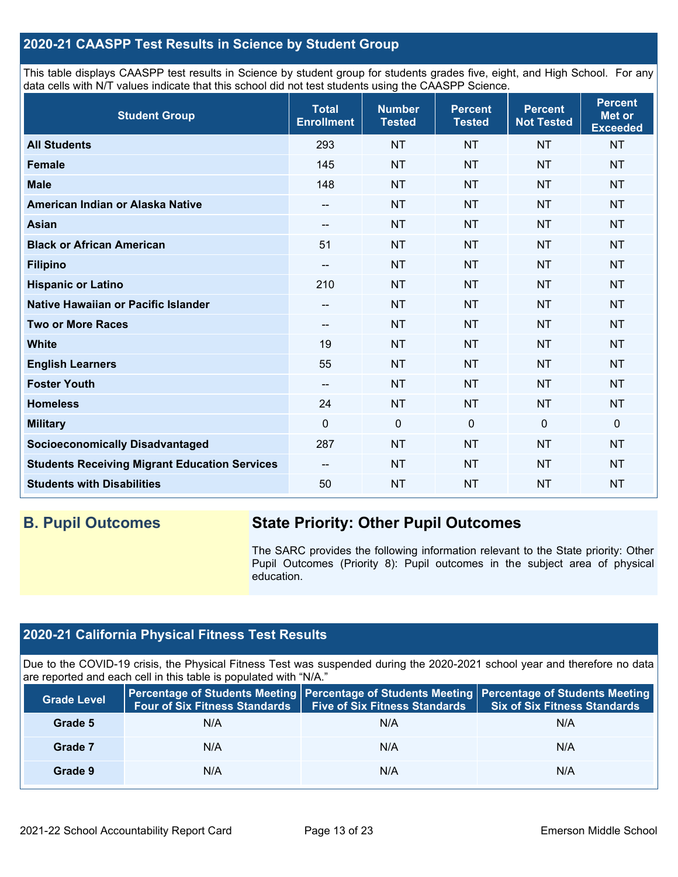## **2020-21 CAASPP Test Results in Science by Student Group**

This table displays CAASPP test results in Science by student group for students grades five, eight, and High School. For any data cells with N/T values indicate that this school did not test students using the CAASPP Science.

| <b>Student Group</b>                                 | <b>Total</b><br><b>Enrollment</b> | <b>Number</b><br><b>Tested</b> | <b>Percent</b><br><b>Tested</b> | <b>Percent</b><br><b>Not Tested</b> | <b>Percent</b><br>Met or<br><b>Exceeded</b> |
|------------------------------------------------------|-----------------------------------|--------------------------------|---------------------------------|-------------------------------------|---------------------------------------------|
| <b>All Students</b>                                  | 293                               | <b>NT</b>                      | <b>NT</b>                       | <b>NT</b>                           | <b>NT</b>                                   |
| <b>Female</b>                                        | 145                               | <b>NT</b>                      | <b>NT</b>                       | <b>NT</b>                           | <b>NT</b>                                   |
| <b>Male</b>                                          | 148                               | <b>NT</b>                      | <b>NT</b>                       | <b>NT</b>                           | <b>NT</b>                                   |
| American Indian or Alaska Native                     | --                                | <b>NT</b>                      | <b>NT</b>                       | <b>NT</b>                           | <b>NT</b>                                   |
| <b>Asian</b>                                         | --                                | <b>NT</b>                      | <b>NT</b>                       | <b>NT</b>                           | <b>NT</b>                                   |
| <b>Black or African American</b>                     | 51                                | <b>NT</b>                      | <b>NT</b>                       | <b>NT</b>                           | <b>NT</b>                                   |
| <b>Filipino</b>                                      | $\overline{\phantom{a}}$          | <b>NT</b>                      | <b>NT</b>                       | <b>NT</b>                           | <b>NT</b>                                   |
| <b>Hispanic or Latino</b>                            | 210                               | <b>NT</b>                      | <b>NT</b>                       | <b>NT</b>                           | <b>NT</b>                                   |
| Native Hawaiian or Pacific Islander                  | --                                | <b>NT</b>                      | <b>NT</b>                       | <b>NT</b>                           | <b>NT</b>                                   |
| <b>Two or More Races</b>                             | --                                | <b>NT</b>                      | <b>NT</b>                       | <b>NT</b>                           | <b>NT</b>                                   |
| <b>White</b>                                         | 19                                | <b>NT</b>                      | <b>NT</b>                       | <b>NT</b>                           | <b>NT</b>                                   |
| <b>English Learners</b>                              | 55                                | <b>NT</b>                      | <b>NT</b>                       | <b>NT</b>                           | <b>NT</b>                                   |
| <b>Foster Youth</b>                                  | --                                | <b>NT</b>                      | <b>NT</b>                       | <b>NT</b>                           | <b>NT</b>                                   |
| <b>Homeless</b>                                      | 24                                | <b>NT</b>                      | <b>NT</b>                       | <b>NT</b>                           | <b>NT</b>                                   |
| <b>Military</b>                                      | $\Omega$                          | $\mathbf 0$                    | $\mathbf{0}$                    | $\mathbf 0$                         | 0                                           |
| <b>Socioeconomically Disadvantaged</b>               | 287                               | <b>NT</b>                      | <b>NT</b>                       | <b>NT</b>                           | <b>NT</b>                                   |
| <b>Students Receiving Migrant Education Services</b> | $\qquad \qquad -$                 | <b>NT</b>                      | <b>NT</b>                       | <b>NT</b>                           | <b>NT</b>                                   |
| <b>Students with Disabilities</b>                    | 50                                | <b>NT</b>                      | <b>NT</b>                       | <b>NT</b>                           | <b>NT</b>                                   |

## **B. Pupil Outcomes State Priority: Other Pupil Outcomes**

The SARC provides the following information relevant to the State priority: Other Pupil Outcomes (Priority 8): Pupil outcomes in the subject area of physical education.

## **2020-21 California Physical Fitness Test Results**

Due to the COVID-19 crisis, the Physical Fitness Test was suspended during the 2020-2021 school year and therefore no data are reported and each cell in this table is populated with "N/A."

| <b>Grade Level</b> | <b>Four of Six Fitness Standards</b> | <b>Five of Six Fitness Standards</b> | Percentage of Students Meeting   Percentage of Students Meeting   Percentage of Students Meeting<br><b>Six of Six Fitness Standards</b> |
|--------------------|--------------------------------------|--------------------------------------|-----------------------------------------------------------------------------------------------------------------------------------------|
| Grade 5            | N/A                                  | N/A                                  | N/A                                                                                                                                     |
| Grade 7            | N/A                                  | N/A                                  | N/A                                                                                                                                     |
| Grade 9            | N/A                                  | N/A                                  | N/A                                                                                                                                     |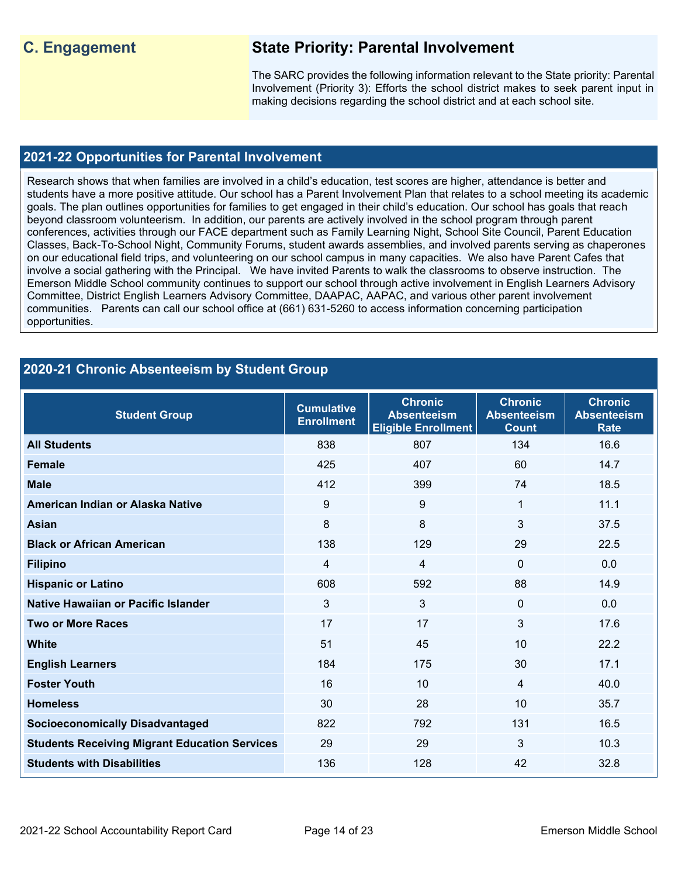## **C. Engagement State Priority: Parental Involvement**

The SARC provides the following information relevant to the State priority: Parental Involvement (Priority 3): Efforts the school district makes to seek parent input in making decisions regarding the school district and at each school site.

### **2021-22 Opportunities for Parental Involvement**

Research shows that when families are involved in a child's education, test scores are higher, attendance is better and students have a more positive attitude. Our school has a Parent Involvement Plan that relates to a school meeting its academic goals. The plan outlines opportunities for families to get engaged in their child's education. Our school has goals that reach beyond classroom volunteerism. In addition, our parents are actively involved in the school program through parent conferences, activities through our FACE department such as Family Learning Night, School Site Council, Parent Education Classes, Back-To-School Night, Community Forums, student awards assemblies, and involved parents serving as chaperones on our educational field trips, and volunteering on our school campus in many capacities. We also have Parent Cafes that involve a social gathering with the Principal. We have invited Parents to walk the classrooms to observe instruction. The Emerson Middle School community continues to support our school through active involvement in English Learners Advisory Committee, District English Learners Advisory Committee, DAAPAC, AAPAC, and various other parent involvement communities. Parents can call our school office at (661) 631-5260 to access information concerning participation opportunities.

## **2020-21 Chronic Absenteeism by Student Group**

| <b>Student Group</b>                                 | <b>Cumulative</b><br><b>Enrollment</b> | <b>Chronic</b><br><b>Absenteeism</b><br><b>Eligible Enrollment</b> | <b>Chronic</b><br><b>Absenteeism</b><br><b>Count</b> | <b>Chronic</b><br><b>Absenteeism</b><br><b>Rate</b> |
|------------------------------------------------------|----------------------------------------|--------------------------------------------------------------------|------------------------------------------------------|-----------------------------------------------------|
| <b>All Students</b>                                  | 838                                    | 807                                                                | 134                                                  | 16.6                                                |
| <b>Female</b>                                        | 425                                    | 407                                                                | 60                                                   | 14.7                                                |
| <b>Male</b>                                          | 412                                    | 399                                                                | 74                                                   | 18.5                                                |
| American Indian or Alaska Native                     | 9                                      | 9                                                                  | $\mathbf{1}$                                         | 11.1                                                |
| Asian                                                | 8                                      | 8                                                                  | 3                                                    | 37.5                                                |
| <b>Black or African American</b>                     | 138                                    | 129                                                                | 29                                                   | 22.5                                                |
| <b>Filipino</b>                                      | 4                                      | 4                                                                  | $\Omega$                                             | 0.0                                                 |
| <b>Hispanic or Latino</b>                            | 608                                    | 592                                                                | 88                                                   | 14.9                                                |
| Native Hawaiian or Pacific Islander                  | 3                                      | 3                                                                  | $\mathbf 0$                                          | 0.0                                                 |
| <b>Two or More Races</b>                             | 17                                     | 17                                                                 | 3                                                    | 17.6                                                |
| White                                                | 51                                     | 45                                                                 | 10                                                   | 22.2                                                |
| <b>English Learners</b>                              | 184                                    | 175                                                                | 30                                                   | 17.1                                                |
| <b>Foster Youth</b>                                  | 16                                     | 10                                                                 | $\overline{4}$                                       | 40.0                                                |
| <b>Homeless</b>                                      | 30                                     | 28                                                                 | 10                                                   | 35.7                                                |
| <b>Socioeconomically Disadvantaged</b>               | 822                                    | 792                                                                | 131                                                  | 16.5                                                |
| <b>Students Receiving Migrant Education Services</b> | 29                                     | 29                                                                 | 3                                                    | 10.3                                                |
| <b>Students with Disabilities</b>                    | 136                                    | 128                                                                | 42                                                   | 32.8                                                |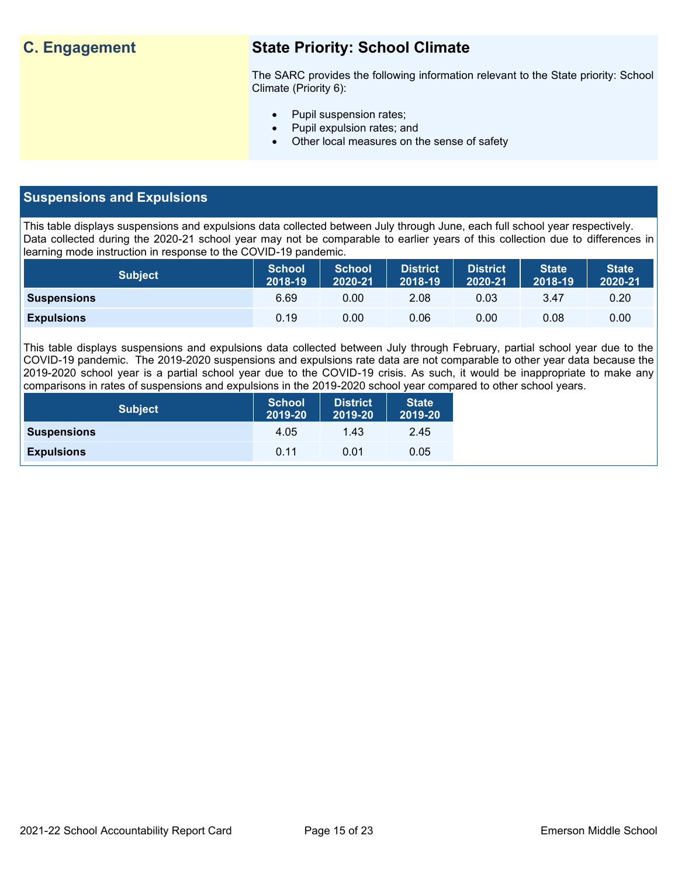## **C. Engagement State Priority: School Climate**

The SARC provides the following information relevant to the State priority: School Climate (Priority 6):

- Pupil suspension rates;
- Pupil expulsion rates; and
- Other local measures on the sense of safety

## **Suspensions and Expulsions**

This table displays suspensions and expulsions data collected between July through June, each full school year respectively. Data collected during the 2020-21 school year may not be comparable to earlier years of this collection due to differences in learning mode instruction in response to the COVID-19 pandemic.

| <b>Subject</b>     | <b>School</b><br>2018-19 | <b>School</b><br>2020-21 | <b>District</b><br>2018-19 | <b>District</b><br>2020-21 | <b>State</b><br>2018-19 | <b>State</b><br>2020-21 |
|--------------------|--------------------------|--------------------------|----------------------------|----------------------------|-------------------------|-------------------------|
| <b>Suspensions</b> | 6.69                     | 0.00                     | 2.08                       | 0.03                       | 3.47                    | 0.20                    |
| <b>Expulsions</b>  | 0.19                     | 0.00                     | 0.06                       | 0.00                       | 0.08                    | 0.00                    |

This table displays suspensions and expulsions data collected between July through February, partial school year due to the COVID-19 pandemic. The 2019-2020 suspensions and expulsions rate data are not comparable to other year data because the 2019-2020 school year is a partial school year due to the COVID-19 crisis. As such, it would be inappropriate to make any comparisons in rates of suspensions and expulsions in the 2019-2020 school year compared to other school years.

| <b>Subject</b>     | <b>School</b><br>2019-20 | <b>District</b><br>2019-20 | <b>State</b><br>2019-20 |
|--------------------|--------------------------|----------------------------|-------------------------|
| <b>Suspensions</b> | 4.05                     | 1.43                       | 2.45                    |
| <b>Expulsions</b>  | 0.11                     | 0.01                       | 0.05                    |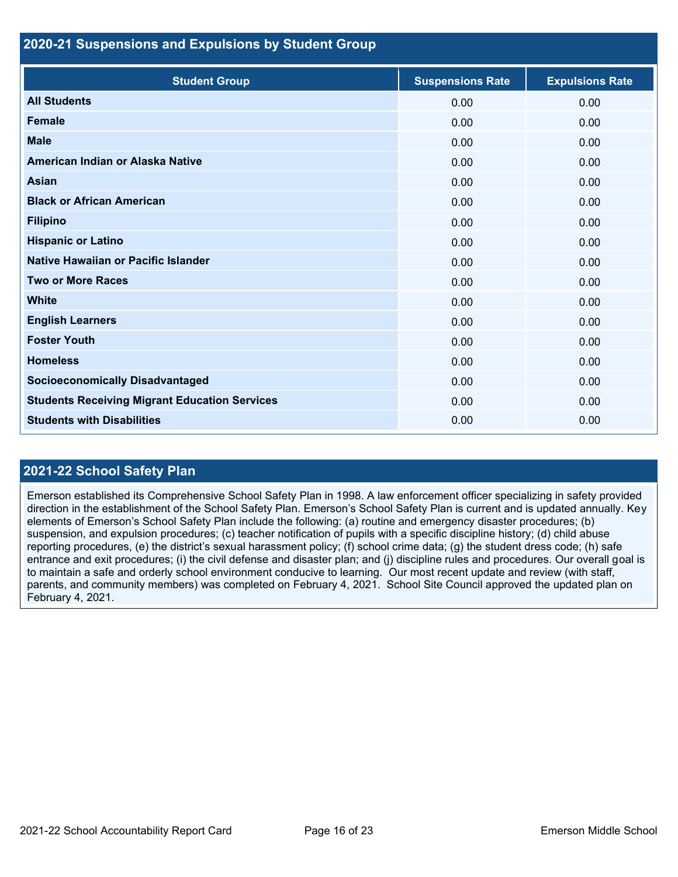### **2020-21 Suspensions and Expulsions by Student Group**

| <b>Student Group</b>                                 | <b>Suspensions Rate</b> | <b>Expulsions Rate</b> |
|------------------------------------------------------|-------------------------|------------------------|
| <b>All Students</b>                                  | 0.00                    | 0.00                   |
| <b>Female</b>                                        | 0.00                    | 0.00                   |
| <b>Male</b>                                          | 0.00                    | 0.00                   |
| American Indian or Alaska Native                     | 0.00                    | 0.00                   |
| <b>Asian</b>                                         | 0.00                    | 0.00                   |
| <b>Black or African American</b>                     | 0.00                    | 0.00                   |
| <b>Filipino</b>                                      | 0.00                    | 0.00                   |
| <b>Hispanic or Latino</b>                            | 0.00                    | 0.00                   |
| Native Hawaiian or Pacific Islander                  | 0.00                    | 0.00                   |
| <b>Two or More Races</b>                             | 0.00                    | 0.00                   |
| White                                                | 0.00                    | 0.00                   |
| <b>English Learners</b>                              | 0.00                    | 0.00                   |
| <b>Foster Youth</b>                                  | 0.00                    | 0.00                   |
| <b>Homeless</b>                                      | 0.00                    | 0.00                   |
| <b>Socioeconomically Disadvantaged</b>               | 0.00                    | 0.00                   |
| <b>Students Receiving Migrant Education Services</b> | 0.00                    | 0.00                   |
| <b>Students with Disabilities</b>                    | 0.00                    | 0.00                   |

## **2021-22 School Safety Plan**

Emerson established its Comprehensive School Safety Plan in 1998. A law enforcement officer specializing in safety provided direction in the establishment of the School Safety Plan. Emerson's School Safety Plan is current and is updated annually. Key elements of Emerson's School Safety Plan include the following: (a) routine and emergency disaster procedures; (b) suspension, and expulsion procedures; (c) teacher notification of pupils with a specific discipline history; (d) child abuse reporting procedures, (e) the district's sexual harassment policy; (f) school crime data; (g) the student dress code; (h) safe entrance and exit procedures; (i) the civil defense and disaster plan; and (j) discipline rules and procedures. Our overall goal is to maintain a safe and orderly school environment conducive to learning. Our most recent update and review (with staff, parents, and community members) was completed on February 4, 2021. School Site Council approved the updated plan on February 4, 2021.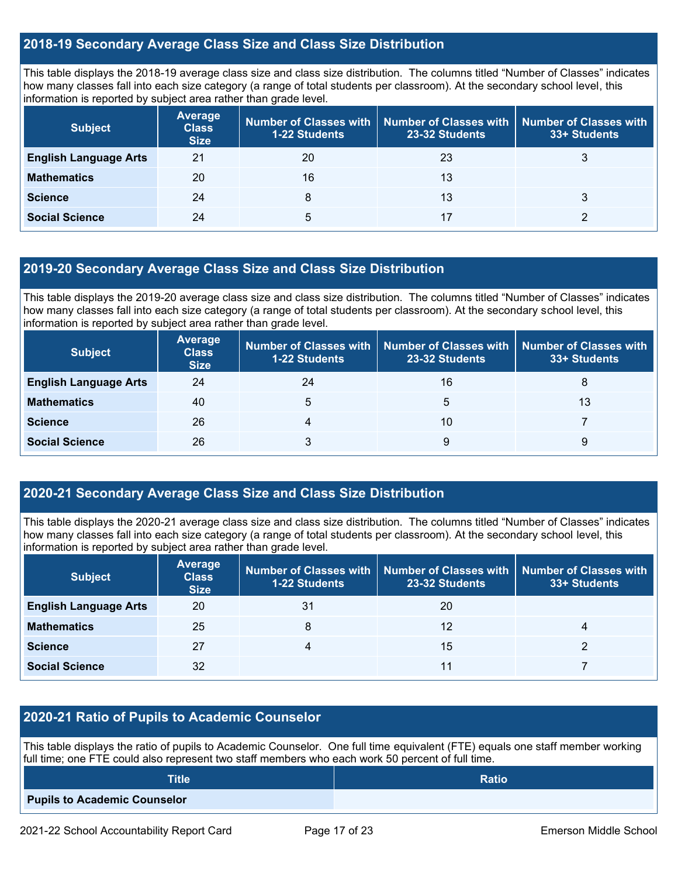## **2018-19 Secondary Average Class Size and Class Size Distribution**

This table displays the 2018-19 average class size and class size distribution. The columns titled "Number of Classes" indicates how many classes fall into each size category (a range of total students per classroom). At the secondary school level, this information is reported by subject area rather than grade level.

| <b>Subject</b>               | <b>Average</b><br><b>Class</b><br><b>Size</b> | <b>1-22 Students</b> | Number of Classes with   Number of Classes with  <br>23-32 Students | <b>Number of Classes with</b><br>33+ Students |
|------------------------------|-----------------------------------------------|----------------------|---------------------------------------------------------------------|-----------------------------------------------|
| <b>English Language Arts</b> | 21                                            | 20                   | 23                                                                  | 3                                             |
| <b>Mathematics</b>           | 20                                            | 16                   | 13                                                                  |                                               |
| <b>Science</b>               | 24                                            | 8                    | 13                                                                  |                                               |
| <b>Social Science</b>        | 24                                            | 5                    | 17                                                                  |                                               |

### **2019-20 Secondary Average Class Size and Class Size Distribution**

This table displays the 2019-20 average class size and class size distribution. The columns titled "Number of Classes" indicates how many classes fall into each size category (a range of total students per classroom). At the secondary school level, this information is reported by subject area rather than grade level.

| <b>Subject</b>               | <b>Average</b><br><b>Class</b><br><b>Size</b> | Number of Classes with<br><b>1-22 Students</b> | Number of Classes with Number of Classes with<br>23-32 Students | 33+ Students |
|------------------------------|-----------------------------------------------|------------------------------------------------|-----------------------------------------------------------------|--------------|
| <b>English Language Arts</b> | 24                                            | 24                                             | 16                                                              | 8            |
| <b>Mathematics</b>           | 40                                            | 5                                              | 5                                                               | 13           |
| <b>Science</b>               | 26                                            |                                                | 10                                                              |              |
| <b>Social Science</b>        | 26                                            |                                                | 9                                                               | 9            |

## **2020-21 Secondary Average Class Size and Class Size Distribution**

This table displays the 2020-21 average class size and class size distribution. The columns titled "Number of Classes" indicates how many classes fall into each size category (a range of total students per classroom). At the secondary school level, this information is reported by subject area rather than grade level.

| <b>Subject</b>               | Average<br><b>Class</b><br><b>Size</b> | <b>1-22 Students</b> | Number of Classes with   Number of Classes with   Number of Classes with<br>23-32 Students | 33+ Students |
|------------------------------|----------------------------------------|----------------------|--------------------------------------------------------------------------------------------|--------------|
| <b>English Language Arts</b> | 20                                     | 31                   | 20                                                                                         |              |
| <b>Mathematics</b>           | 25                                     | 8                    | 12                                                                                         | 4            |
| <b>Science</b>               | 27                                     | 4                    | 15                                                                                         |              |
| <b>Social Science</b>        | 32                                     |                      | 11                                                                                         |              |

## **2020-21 Ratio of Pupils to Academic Counselor**

This table displays the ratio of pupils to Academic Counselor. One full time equivalent (FTE) equals one staff member working full time; one FTE could also represent two staff members who each work 50 percent of full time.

| <b>Title</b>                 | <b>Ratio</b> |
|------------------------------|--------------|
| Pupils to Academic Counselor |              |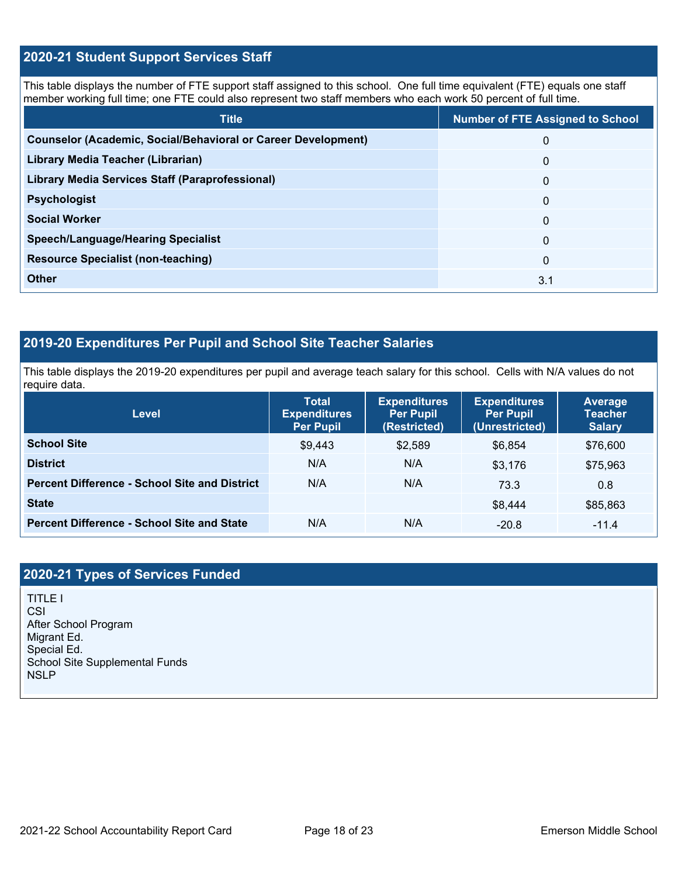## **2020-21 Student Support Services Staff**

This table displays the number of FTE support staff assigned to this school. One full time equivalent (FTE) equals one staff member working full time; one FTE could also represent two staff members who each work 50 percent of full time.

| <b>Title</b>                                                         | <b>Number of FTE Assigned to School</b> |
|----------------------------------------------------------------------|-----------------------------------------|
| <b>Counselor (Academic, Social/Behavioral or Career Development)</b> | $\mathbf{0}$                            |
| Library Media Teacher (Librarian)                                    | $\Omega$                                |
| Library Media Services Staff (Paraprofessional)                      | $\Omega$                                |
| <b>Psychologist</b>                                                  | $\Omega$                                |
| <b>Social Worker</b>                                                 | $\Omega$                                |
| <b>Speech/Language/Hearing Specialist</b>                            | $\Omega$                                |
| <b>Resource Specialist (non-teaching)</b>                            | $\Omega$                                |
| Other                                                                | 3.1                                     |

## **2019-20 Expenditures Per Pupil and School Site Teacher Salaries**

This table displays the 2019-20 expenditures per pupil and average teach salary for this school. Cells with N/A values do not require data.

| <b>Level</b>                                         | <b>Total</b><br><b>Expenditures</b><br><b>Per Pupil</b><br><b>Expenditures</b><br>(Restricted)<br><b>Per Pupil</b> |         | <b>Expenditures</b><br><b>Per Pupil</b><br>(Unrestricted) | <b>Average</b><br><b>Teacher</b><br><b>Salary</b> |  |
|------------------------------------------------------|--------------------------------------------------------------------------------------------------------------------|---------|-----------------------------------------------------------|---------------------------------------------------|--|
| <b>School Site</b>                                   | \$9,443                                                                                                            | \$2,589 | \$6,854                                                   | \$76,600                                          |  |
| <b>District</b>                                      | N/A                                                                                                                | N/A     | \$3.176                                                   | \$75,963                                          |  |
| <b>Percent Difference - School Site and District</b> | N/A                                                                                                                | N/A     | 73.3                                                      | 0.8                                               |  |
| <b>State</b>                                         |                                                                                                                    |         | \$8,444                                                   | \$85,863                                          |  |
| <b>Percent Difference - School Site and State</b>    | N/A                                                                                                                | N/A     | $-20.8$                                                   | $-11.4$                                           |  |

## **2020-21 Types of Services Funded**

TITLE I CSI After School Program Migrant Ed. Special Ed. School Site Supplemental Funds NSLP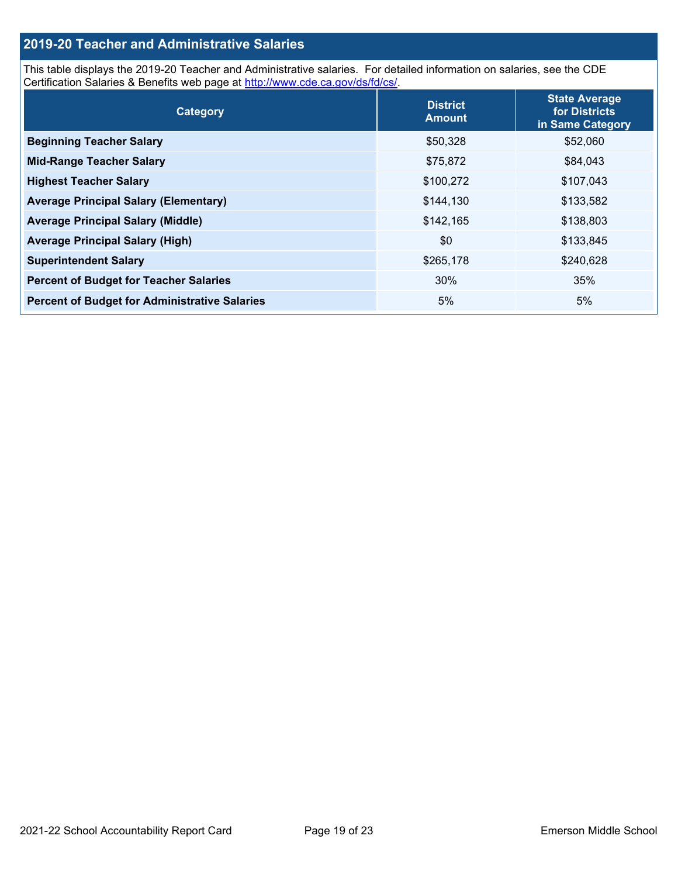## **2019-20 Teacher and Administrative Salaries**

This table displays the 2019-20 Teacher and Administrative salaries. For detailed information on salaries, see the CDE Certification Salaries & Benefits web page at [http://www.cde.ca.gov/ds/fd/cs/.](http://www.cde.ca.gov/ds/fd/cs/)

| Category                                             | <b>District</b><br><b>Amount</b> | <b>State Average</b><br>for Districts<br>in Same Category |
|------------------------------------------------------|----------------------------------|-----------------------------------------------------------|
| <b>Beginning Teacher Salary</b>                      | \$50,328                         | \$52,060                                                  |
| <b>Mid-Range Teacher Salary</b>                      | \$75,872                         | \$84,043                                                  |
| <b>Highest Teacher Salary</b>                        | \$100,272                        | \$107,043                                                 |
| <b>Average Principal Salary (Elementary)</b>         | \$144,130                        | \$133,582                                                 |
| <b>Average Principal Salary (Middle)</b>             | \$142,165                        | \$138,803                                                 |
| <b>Average Principal Salary (High)</b>               | \$0                              | \$133,845                                                 |
| <b>Superintendent Salary</b>                         | \$265,178                        | \$240,628                                                 |
| <b>Percent of Budget for Teacher Salaries</b>        | 30%                              | 35%                                                       |
| <b>Percent of Budget for Administrative Salaries</b> | 5%                               | 5%                                                        |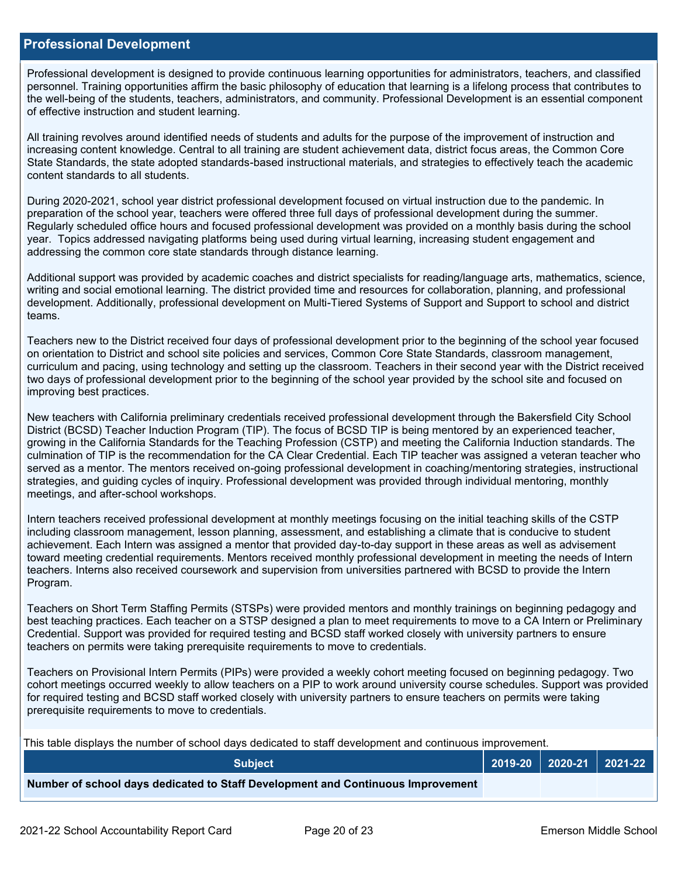### **Professional Development**

Professional development is designed to provide continuous learning opportunities for administrators, teachers, and classified personnel. Training opportunities affirm the basic philosophy of education that learning is a lifelong process that contributes to the well-being of the students, teachers, administrators, and community. Professional Development is an essential component of effective instruction and student learning.

All training revolves around identified needs of students and adults for the purpose of the improvement of instruction and increasing content knowledge. Central to all training are student achievement data, district focus areas, the Common Core State Standards, the state adopted standards-based instructional materials, and strategies to effectively teach the academic content standards to all students.

During 2020-2021, school year district professional development focused on virtual instruction due to the pandemic. In preparation of the school year, teachers were offered three full days of professional development during the summer. Regularly scheduled office hours and focused professional development was provided on a monthly basis during the school year. Topics addressed navigating platforms being used during virtual learning, increasing student engagement and addressing the common core state standards through distance learning.

Additional support was provided by academic coaches and district specialists for reading/language arts, mathematics, science, writing and social emotional learning. The district provided time and resources for collaboration, planning, and professional development. Additionally, professional development on Multi-Tiered Systems of Support and Support to school and district teams.

Teachers new to the District received four days of professional development prior to the beginning of the school year focused on orientation to District and school site policies and services, Common Core State Standards, classroom management, curriculum and pacing, using technology and setting up the classroom. Teachers in their second year with the District received two days of professional development prior to the beginning of the school year provided by the school site and focused on improving best practices.

New teachers with California preliminary credentials received professional development through the Bakersfield City School District (BCSD) Teacher Induction Program (TIP). The focus of BCSD TIP is being mentored by an experienced teacher, growing in the California Standards for the Teaching Profession (CSTP) and meeting the California Induction standards. The culmination of TIP is the recommendation for the CA Clear Credential. Each TIP teacher was assigned a veteran teacher who served as a mentor. The mentors received on-going professional development in coaching/mentoring strategies, instructional strategies, and guiding cycles of inquiry. Professional development was provided through individual mentoring, monthly meetings, and after-school workshops.

Intern teachers received professional development at monthly meetings focusing on the initial teaching skills of the CSTP including classroom management, lesson planning, assessment, and establishing a climate that is conducive to student achievement. Each Intern was assigned a mentor that provided day-to-day support in these areas as well as advisement toward meeting credential requirements. Mentors received monthly professional development in meeting the needs of Intern teachers. Interns also received coursework and supervision from universities partnered with BCSD to provide the Intern Program.

Teachers on Short Term Staffing Permits (STSPs) were provided mentors and monthly trainings on beginning pedagogy and best teaching practices. Each teacher on a STSP designed a plan to meet requirements to move to a CA Intern or Preliminary Credential. Support was provided for required testing and BCSD staff worked closely with university partners to ensure teachers on permits were taking prerequisite requirements to move to credentials.

Teachers on Provisional Intern Permits (PIPs) were provided a weekly cohort meeting focused on beginning pedagogy. Two cohort meetings occurred weekly to allow teachers on a PIP to work around university course schedules. Support was provided for required testing and BCSD staff worked closely with university partners to ensure teachers on permits were taking prerequisite requirements to move to credentials.

This table displays the number of school days dedicated to staff development and continuous improvement.

| <b>Subject</b>                                                                  |  | $2019-20$ 2020-21 2021-22 |
|---------------------------------------------------------------------------------|--|---------------------------|
| Number of school days dedicated to Staff Development and Continuous Improvement |  |                           |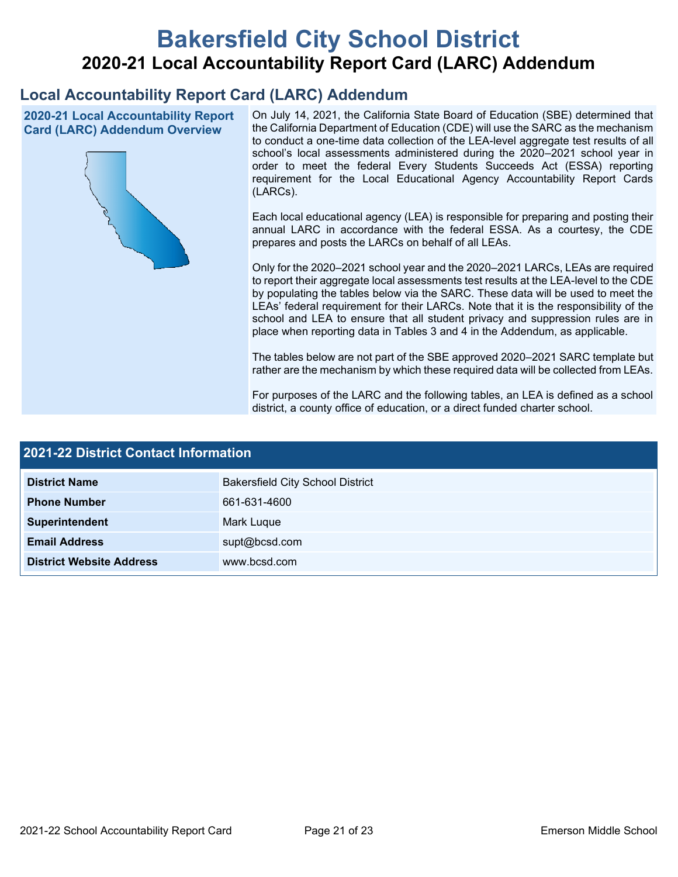# **Bakersfield City School District 2020-21 Local Accountability Report Card (LARC) Addendum**

## **Local Accountability Report Card (LARC) Addendum**

**2020-21 Local Accountability Report Card (LARC) Addendum Overview**



On July 14, 2021, the California State Board of Education (SBE) determined that the California Department of Education (CDE) will use the SARC as the mechanism to conduct a one-time data collection of the LEA-level aggregate test results of all school's local assessments administered during the 2020–2021 school year in order to meet the federal Every Students Succeeds Act (ESSA) reporting requirement for the Local Educational Agency Accountability Report Cards (LARCs).

Each local educational agency (LEA) is responsible for preparing and posting their annual LARC in accordance with the federal ESSA. As a courtesy, the CDE prepares and posts the LARCs on behalf of all LEAs.

Only for the 2020–2021 school year and the 2020–2021 LARCs, LEAs are required to report their aggregate local assessments test results at the LEA-level to the CDE by populating the tables below via the SARC. These data will be used to meet the LEAs' federal requirement for their LARCs. Note that it is the responsibility of the school and LEA to ensure that all student privacy and suppression rules are in place when reporting data in Tables 3 and 4 in the Addendum, as applicable.

The tables below are not part of the SBE approved 2020–2021 SARC template but rather are the mechanism by which these required data will be collected from LEAs.

For purposes of the LARC and the following tables, an LEA is defined as a school district, a county office of education, or a direct funded charter school.

| <b>2021-22 District Contact Information</b> |                                         |  |  |  |
|---------------------------------------------|-----------------------------------------|--|--|--|
| <b>District Name</b>                        | <b>Bakersfield City School District</b> |  |  |  |
| <b>Phone Number</b>                         | 661-631-4600                            |  |  |  |
| Superintendent                              | Mark Luque                              |  |  |  |
| <b>Email Address</b>                        | supt@bcsd.com                           |  |  |  |
| <b>District Website Address</b>             | www.bcsd.com                            |  |  |  |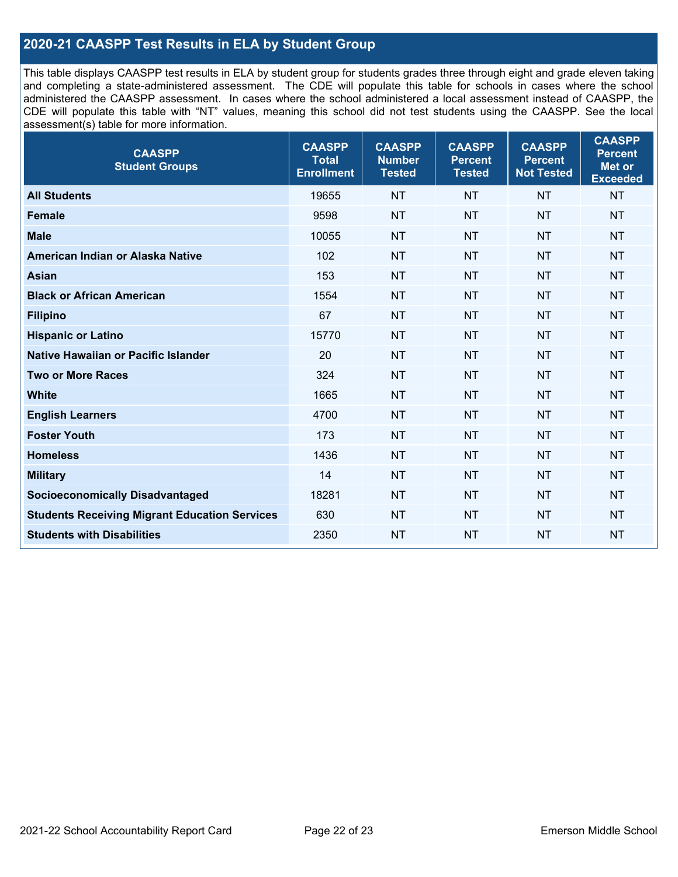## **2020-21 CAASPP Test Results in ELA by Student Group**

This table displays CAASPP test results in ELA by student group for students grades three through eight and grade eleven taking and completing a state-administered assessment. The CDE will populate this table for schools in cases where the school administered the CAASPP assessment. In cases where the school administered a local assessment instead of CAASPP, the CDE will populate this table with "NT" values, meaning this school did not test students using the CAASPP. See the local assessment(s) table for more information.

| <b>CAASPP</b><br><b>Student Groups</b>               | <b>CAASPP</b><br><b>Total</b><br><b>Enrollment</b> | <b>CAASPP</b><br><b>Number</b><br><b>Tested</b> | <b>CAASPP</b><br><b>Percent</b><br><b>Tested</b> | <b>CAASPP</b><br><b>Percent</b><br><b>Not Tested</b> | <b>CAASPP</b><br><b>Percent</b><br>Met or<br><b>Exceeded</b> |
|------------------------------------------------------|----------------------------------------------------|-------------------------------------------------|--------------------------------------------------|------------------------------------------------------|--------------------------------------------------------------|
| <b>All Students</b>                                  | 19655                                              | <b>NT</b>                                       | <b>NT</b>                                        | <b>NT</b>                                            | <b>NT</b>                                                    |
| <b>Female</b>                                        | 9598                                               | <b>NT</b>                                       | <b>NT</b>                                        | <b>NT</b>                                            | <b>NT</b>                                                    |
| <b>Male</b>                                          | 10055                                              | <b>NT</b>                                       | <b>NT</b>                                        | <b>NT</b>                                            | <b>NT</b>                                                    |
| American Indian or Alaska Native                     | 102                                                | <b>NT</b>                                       | <b>NT</b>                                        | <b>NT</b>                                            | <b>NT</b>                                                    |
| <b>Asian</b>                                         | 153                                                | <b>NT</b>                                       | <b>NT</b>                                        | <b>NT</b>                                            | <b>NT</b>                                                    |
| <b>Black or African American</b>                     | 1554                                               | <b>NT</b>                                       | <b>NT</b>                                        | <b>NT</b>                                            | <b>NT</b>                                                    |
| <b>Filipino</b>                                      | 67                                                 | <b>NT</b>                                       | <b>NT</b>                                        | <b>NT</b>                                            | <b>NT</b>                                                    |
| <b>Hispanic or Latino</b>                            | 15770                                              | <b>NT</b>                                       | <b>NT</b>                                        | <b>NT</b>                                            | <b>NT</b>                                                    |
| Native Hawaiian or Pacific Islander                  | 20                                                 | <b>NT</b>                                       | <b>NT</b>                                        | <b>NT</b>                                            | <b>NT</b>                                                    |
| <b>Two or More Races</b>                             | 324                                                | <b>NT</b>                                       | <b>NT</b>                                        | <b>NT</b>                                            | <b>NT</b>                                                    |
| <b>White</b>                                         | 1665                                               | <b>NT</b>                                       | <b>NT</b>                                        | <b>NT</b>                                            | <b>NT</b>                                                    |
| <b>English Learners</b>                              | 4700                                               | <b>NT</b>                                       | <b>NT</b>                                        | <b>NT</b>                                            | <b>NT</b>                                                    |
| <b>Foster Youth</b>                                  | 173                                                | <b>NT</b>                                       | <b>NT</b>                                        | <b>NT</b>                                            | <b>NT</b>                                                    |
| <b>Homeless</b>                                      | 1436                                               | <b>NT</b>                                       | <b>NT</b>                                        | <b>NT</b>                                            | <b>NT</b>                                                    |
| <b>Military</b>                                      | 14                                                 | <b>NT</b>                                       | <b>NT</b>                                        | <b>NT</b>                                            | <b>NT</b>                                                    |
| <b>Socioeconomically Disadvantaged</b>               | 18281                                              | <b>NT</b>                                       | <b>NT</b>                                        | <b>NT</b>                                            | <b>NT</b>                                                    |
| <b>Students Receiving Migrant Education Services</b> | 630                                                | <b>NT</b>                                       | <b>NT</b>                                        | <b>NT</b>                                            | NT                                                           |
| <b>Students with Disabilities</b>                    | 2350                                               | <b>NT</b>                                       | <b>NT</b>                                        | <b>NT</b>                                            | <b>NT</b>                                                    |